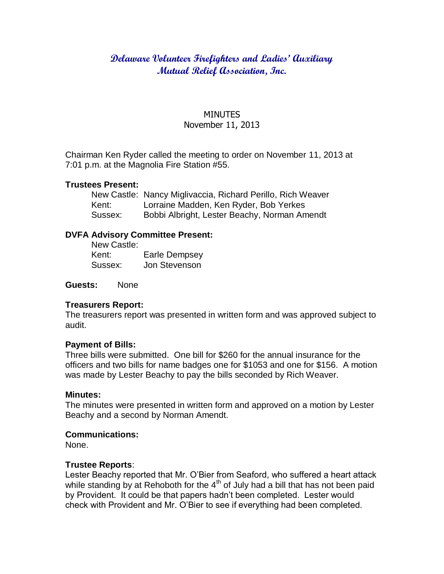## **Delaware Volunteer Firefighters and Ladies' Auxiliary Mutual Relief Association, Inc.**

# MINUTES

## November 11, 2013

Chairman Ken Ryder called the meeting to order on November 11, 2013 at 7:01 p.m. at the Magnolia Fire Station #55.

#### **Trustees Present:**

|         | New Castle: Nancy Miglivaccia, Richard Perillo, Rich Weaver |
|---------|-------------------------------------------------------------|
| Kent:   | Lorraine Madden, Ken Ryder, Bob Yerkes                      |
| Sussex: | Bobbi Albright, Lester Beachy, Norman Amendt                |

## **DVFA Advisory Committee Present:**

| New Castle: |                      |
|-------------|----------------------|
| Kent:       | <b>Earle Dempsey</b> |
| Sussex:     | Jon Stevenson        |

**Guests:** None

## **Treasurers Report:**

The treasurers report was presented in written form and was approved subject to audit.

#### **Payment of Bills:**

Three bills were submitted. One bill for \$260 for the annual insurance for the officers and two bills for name badges one for \$1053 and one for \$156. A motion was made by Lester Beachy to pay the bills seconded by Rich Weaver.

#### **Minutes:**

The minutes were presented in written form and approved on a motion by Lester Beachy and a second by Norman Amendt.

## **Communications:**

None.

## **Trustee Reports**:

Lester Beachy reported that Mr. O'Bier from Seaford, who suffered a heart attack while standing by at Rehoboth for the  $4<sup>th</sup>$  of July had a bill that has not been paid by Provident. It could be that papers hadn't been completed. Lester would check with Provident and Mr. O'Bier to see if everything had been completed.